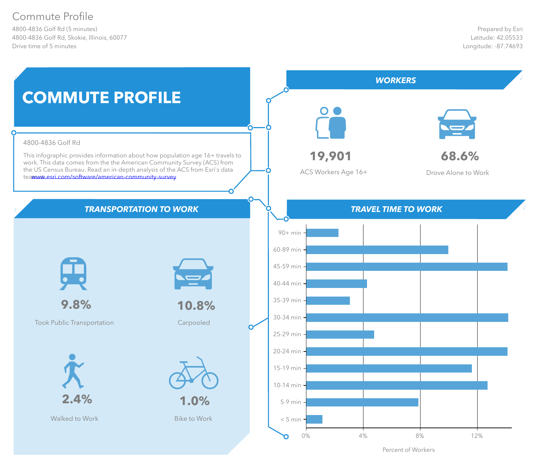# Commute Profile

4800-4836 Golf Rd (5 minutes) 4800-4836 Golf Rd, Skokie, Illinois, 60077 Drive time of 5 minutes



Percent of Workers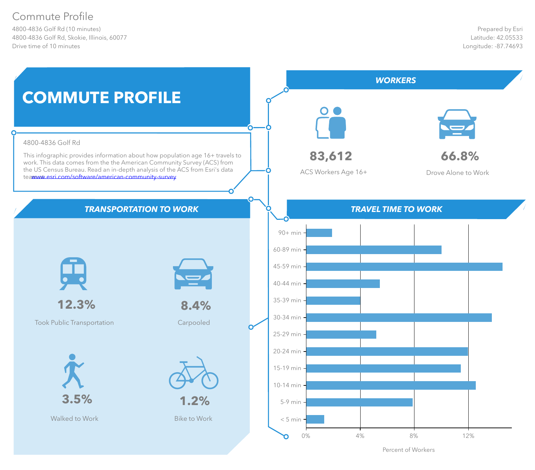# Commute Profile

4800-4836 Golf Rd (10 minutes) 4800-4836 Golf Rd, Skokie, Illinois, 60077 Drive time of 10 minutes



Percent of Workers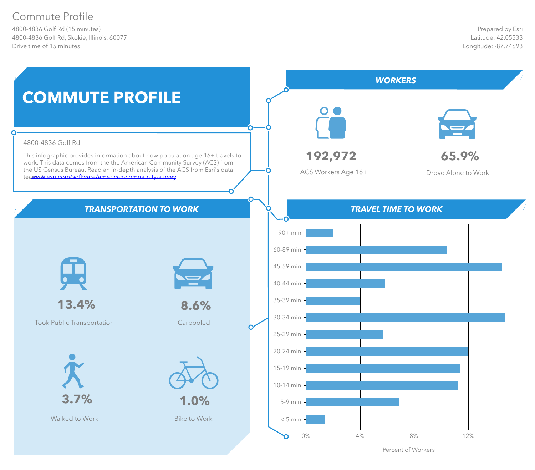# Commute Profile

4800-4836 Golf Rd (15 minutes) 4800-4836 Golf Rd, Skokie, Illinois, 60077 Drive time of 15 minutes



Percent of Workers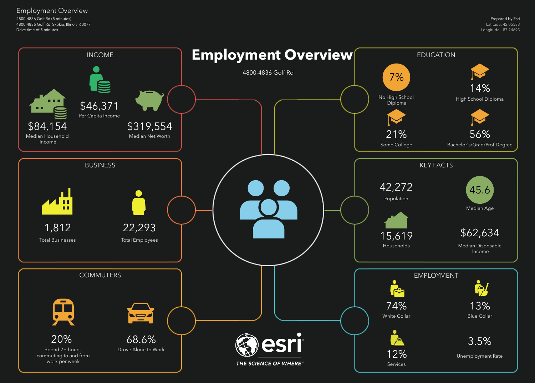4800-4836 Golf Rd (5 minutes) 4800-4836 Golf Rd, Skokie, Illinois, 60077 Drive time of 5 minutes

#### Employment Overview

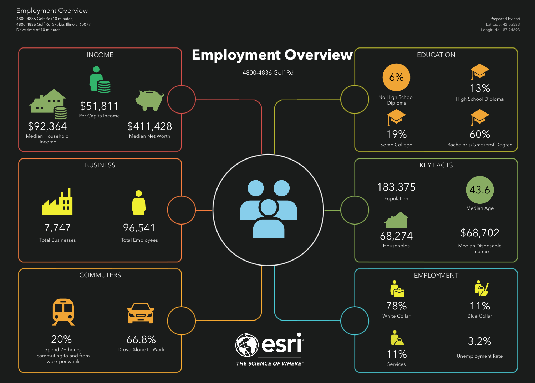4800-4836 Golf Rd (10 minutes) 4800-4836 Golf Rd, Skokie, Illinois, 60077 Drive time of 10 minutes

#### Employment Overview

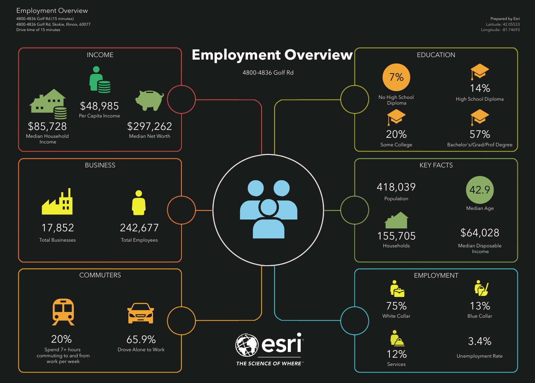4800-4836 Golf Rd (15 minutes) 4800-4836 Golf Rd, Skokie, Illinois, 60077 Drive time of 15 minutes

#### Employment Overview

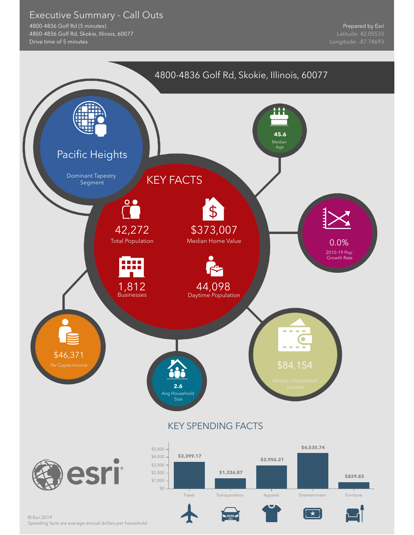#### Executive Summary - Call Outs

4800-4836 Golf Rd (5 minutes) 4800-4836 Golf Rd, Skokie, Illinois, 60077 Drive time of 5 minutes

Prepared by Esri

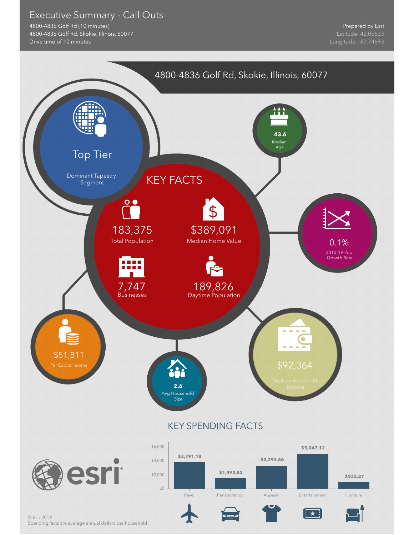#### Executive Summary - Call Outs

4800-4836 Golf Rd (10 minutes) 4800-4836 Golf Rd, Skokie, Illinois, 60077 Drive time of 10 minutes

Prepared by Esri

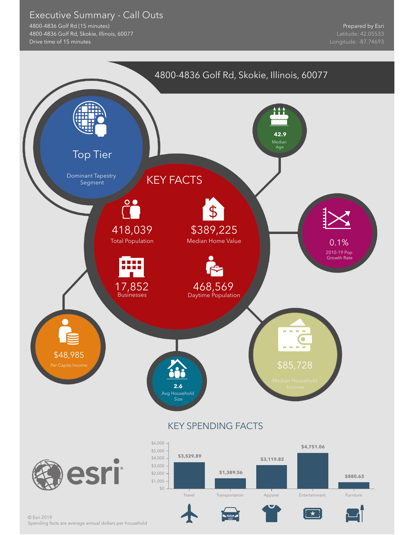#### Executive Summary - Call Outs

4800-4836 Golf Rd (15 minutes) 4800-4836 Golf Rd, Skokie, Illinois, 60077 Drive time of 15 minutes

Prepared by Esri

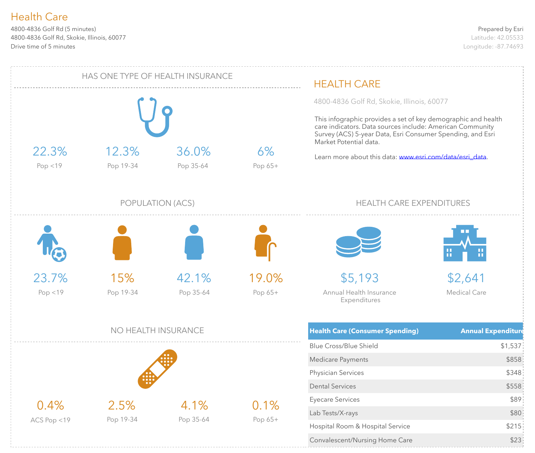4800-4836 Golf Rd (5 minutes) 4800-4836 Golf Rd, Skokie, Illinois, 60077 Drive time of 5 minutes

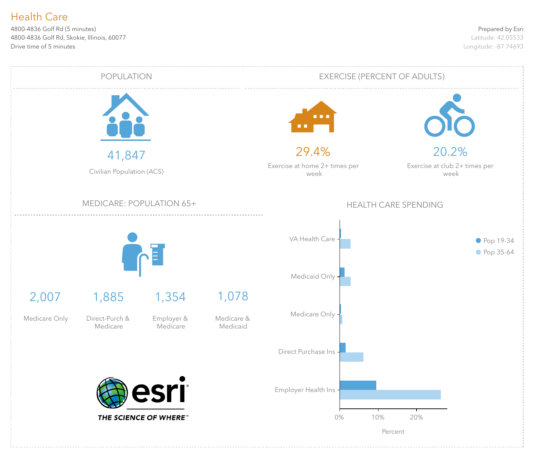4800-4836 Golf Rd (5 minutes) 4800-4836 Golf Rd, Skokie, Illinois, 60077 Drive time of 5 minutes

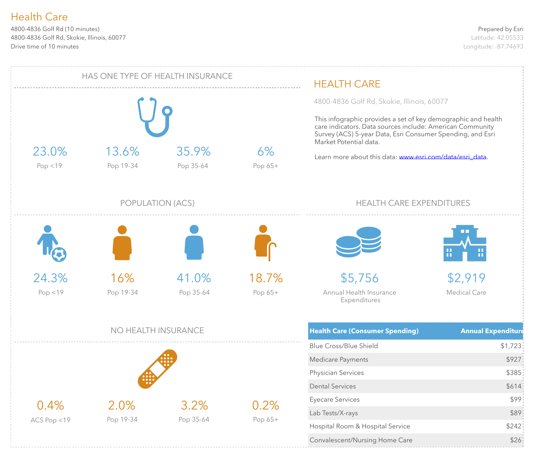4800-4836 Golf Rd (10 minutes) 4800-4836 Golf Rd, Skokie, Illinois, 60077 Drive time of 10 minutes

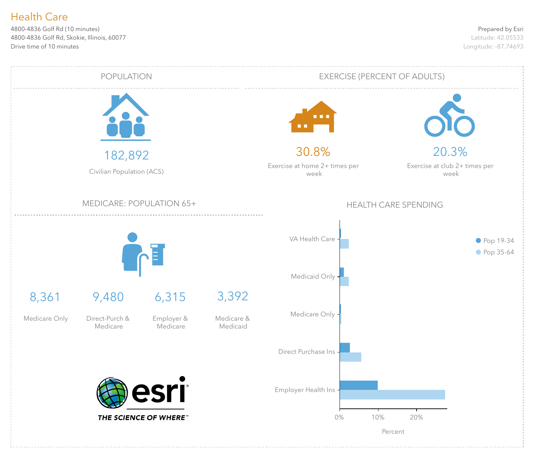4800-4836 Golf Rd (10 minutes) 4800-4836 Golf Rd, Skokie, Illinois, 60077 Drive time of 10 minutes

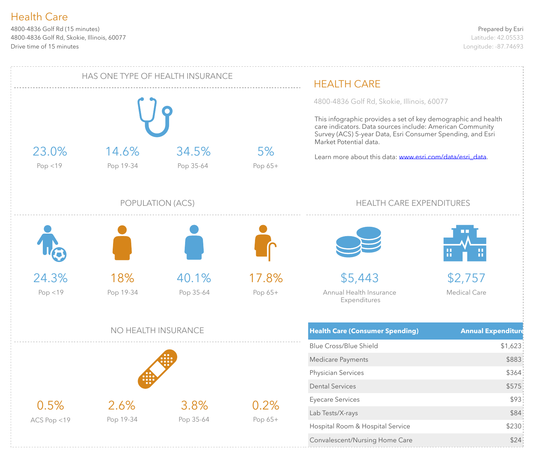4800-4836 Golf Rd (15 minutes) 4800-4836 Golf Rd, Skokie, Illinois, 60077 Drive time of 15 minutes

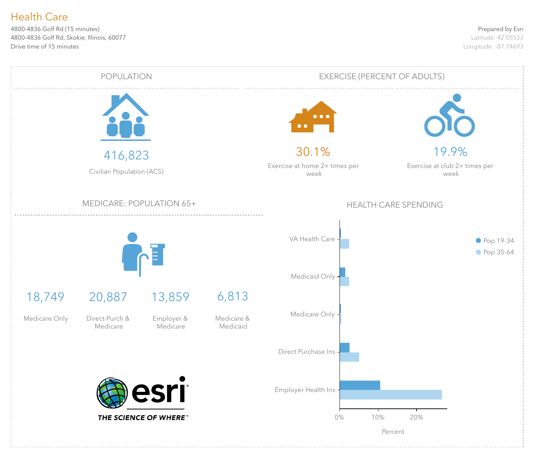4800-4836 Golf Rd (15 minutes) 4800-4836 Golf Rd, Skokie, Illinois, 60077 Drive time of 15 minutes

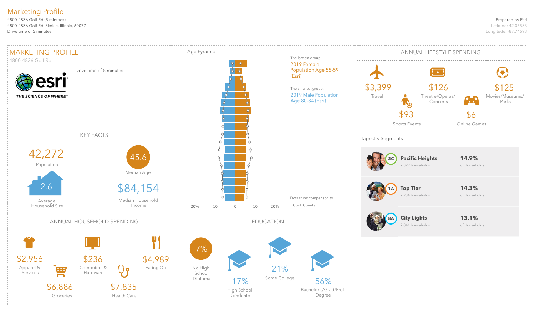#### Prepared by Esri

Latitude: 42.05533 Longitude: -87.74693

4800-4836 Golf Rd (5 minutes) 4800-4836 Golf Rd, Skokie, Illinois, 60077 Drive time of 5 minutes

### Marketing Profile

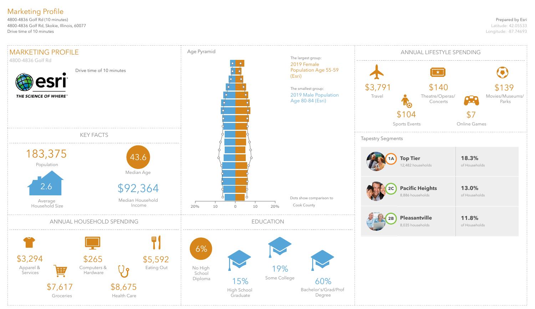#### Prepared by Esri

Latitude: 42.05533 Longitude: -87.74693

4800-4836 Golf Rd (10 minutes) 4800-4836 Golf Rd, Skokie, Illinois, 60077 Drive time of 10 minutes

### Marketing Profile

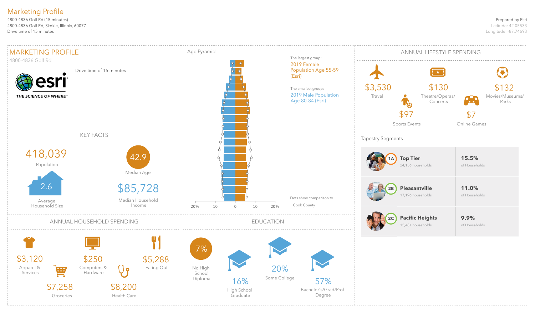#### Prepared by Esri

Latitude: 42.05533 Longitude: -87.74693

4800-4836 Golf Rd (15 minutes) 4800-4836 Golf Rd, Skokie, Illinois, 60077 Drive time of 15 minutes

## Marketing Profile

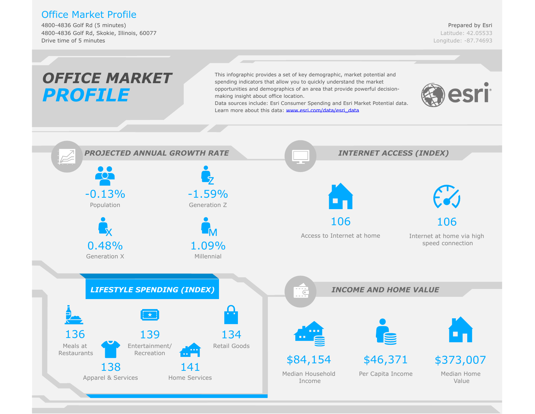#### Office Market Profile

4800-4836 Golf Rd (5 minutes) 4800-4836 Golf Rd, Skokie, Illinois, 60077 Drive time of 5 minutes

Prepared by Esri Latitude: 42.05533 Longitude: -87.74693

#### *OFFICE MARKET*This infographic provides a set of key demographic, market potential and spending indicators that allow you to quickly understand the market opportunities and demographics of an area that provide powerful decisionesri *PROFILE* making insight about office location. Data sources include: Esri C[onsumer Spending and Esri Market Potential d](www.esri.com/data/esri_data)ata. Learn more about this data: www.esri.com/data/esri\_data *PROJECTED ANNUAL GROWTH RATE INTERNET ACCESS (INDEX)*  $\bullet$   $\bullet$ **TOT**  $-0.13%$ -1.59% Population Generation Z 106 106 Access to Internet at home Internet at home via high 0.48% speed connection 1.09% Generation X Millennial *LIFESTYLE SPENDING (INDEX) INCOME AND HOME VALUE*  $\overline{\epsilon}$ 136 139 134 Entertainment/ Retail Goods Meals at Restaurants Recreation \$84,154 \$46,371 \$373,007 138 141 Median Home Median Household Per Capita Income Apparel & Services Home Services Value Income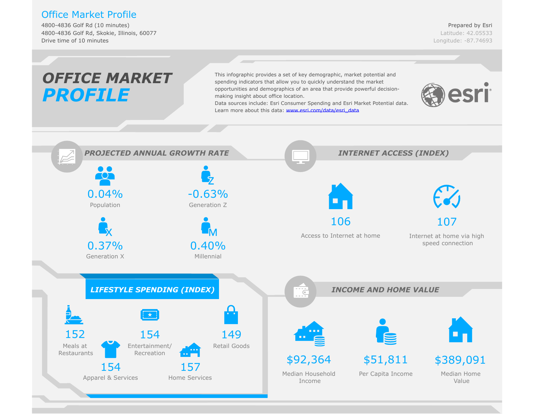#### Office Market Profile

4800-4836 Golf Rd (10 minutes) 4800-4836 Golf Rd, Skokie, Illinois, 60077 Drive time of 10 minutes

Prepared by Esri Latitude: 42.05533 Longitude: -87.74693

#### *OFFICE MARKET*This infographic provides a set of key demographic, market potential and spending indicators that allow you to quickly understand the market opportunities and demographics of an area that provide powerful decisionesri *PROFILE* making insight about office location. Data sources include: Esri C[onsumer Spending and Esri Market Potential d](www.esri.com/data/esri_data)ata. Learn more about this data: www.esri.com/data/esri\_data *PROJECTED ANNUAL GROWTH RATE INTERNET ACCESS (INDEX)*  $\bullet$   $\bullet$ TOT 0.04% -0.63% Population Generation Z 106 107 Access to Internet at home Internet at home via high 0.37% 0.40% speed connection Generation X Millennial *LIFESTYLE SPENDING (INDEX) INCOME AND HOME VALUE*  $\overline{\epsilon}$ 152 154 149 Entertainment/ Retail Goods Meals at Restaurants Recreation \$92,364 \$51,811 \$389,091 154 157 Median Home Median Household Per Capita Income Apparel & Services Home Services Value Income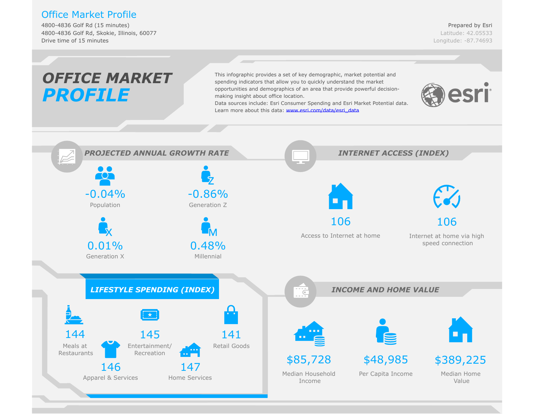#### Office Market Profile

4800-4836 Golf Rd (15 minutes) 4800-4836 Golf Rd, Skokie, Illinois, 60077 Drive time of 15 minutes

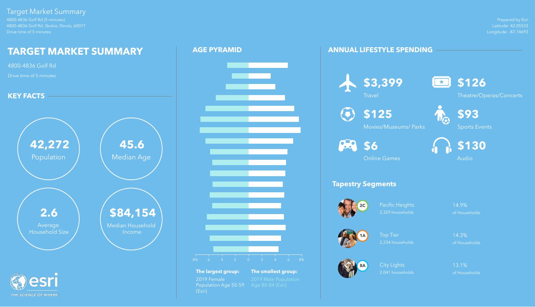Prepared by Esri Latitude: 42.05533 Longitude: -87.74693

4800-4836 Golf Rd (5 minutes) 4800-4836 Golf Rd, Skokie, Illinois, 60077 Drive time of 5 minutes

THE SCIENCE OF WHERE

Pacific Heights 14.9% 2,329 households of Households

#### Target Market Summary

Top Tier **14.3%** 2,234 households of Households

City Lights 13.1% 2,041 households of Households

#### **ANNUAL LIFESTYLE SPENDING**

## **Tapestry Segments**







**\$3,399**





Theatre/Operas/Concerts



**\$125**

Movies/Museums/ Parks



Sports Events





Online Games



# **AGE PYRAMID**





**The largest group: The smallest group:** 2019 Female 2019 Male Population<br>Population Age 55-59 Age 80-84 (Esri) Population Age 55-59 (Esri)

# **Travel**

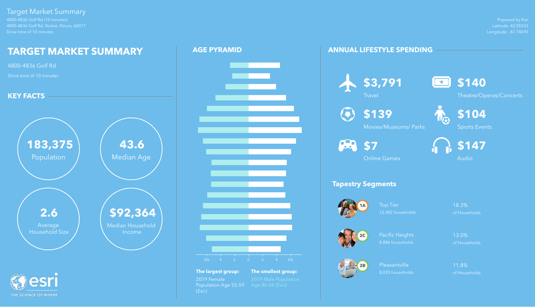Prepared by Esri Latitude: 42.05533 Longitude: -87.74693



4800-4836 Golf Rd (10 minutes) 4800-4836 Golf Rd, Skokie, Illinois, 60077 Drive time of 10 minutes

THE SCIENCE OF WHERE

Top Tier 18.3% 12,482 households of Households

#### Target Market Summary

Pleasantville 11.8% 8,035 households of Households

#### **ANNUAL LIFESTYLE SPENDING**

# **Tapestry Segments**





Pacific Heights 13.0% 8,886 households of Households









Theatre/Operas/Concerts



**\$139**

Movies/Museums/ Parks

**82** \$7



Sports Events



Online Games



#### **AGE PYRAMID**





**The largest group: The smallest group:** 2019 Female 2019 Male Population<br>Population Age 55-59 Age 80-84 (Esri) Population Age 55-59 (Esri)